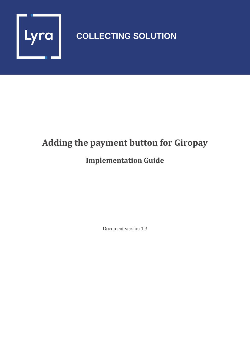

## **COLLECTING SOLUTION**

# **Adding the payment button for Giropay**

### **Implementation Guide**

Document version 1.3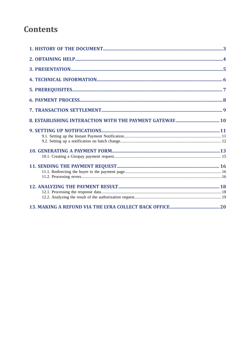### **Contents**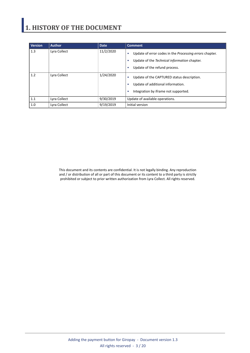## <span id="page-2-0"></span>**1. HISTORY OF THE DOCUMENT**

| <b>Version</b> | <b>Author</b> | <b>Date</b> | <b>Comment</b>                                                                                                                                          |
|----------------|---------------|-------------|---------------------------------------------------------------------------------------------------------------------------------------------------------|
| 1.3            | Lyra Collect  | 11/2/2020   | Update of error codes in the Processing errors chapter.<br>٠<br>Update of the Technical information chapter.<br>٠<br>Update of the refund process.<br>٠ |
| 1.2            | Lyra Collect  | 1/24/2020   | Update of the CAPTURED status description.<br>٠<br>Update of additional information.<br>٠<br>Integration by iframe not supported.<br>٠                  |
| 1.1            | Lyra Collect  | 9/30/2019   | Update of available operations.                                                                                                                         |
| 1.0            | Lyra Collect  | 9/19/2019   | Initial version                                                                                                                                         |

This document and its contents are confidential. It is not legally binding. Any reproduction and / or distribution of all or part of this document or its content to a third party is strictly prohibited or subject to prior written authorization from Lyra Collect. All rights reserved.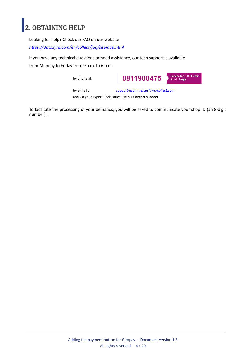### <span id="page-3-0"></span>**2. OBTAINING HELP**

Looking for help? Check our FAQ on our website

*<https://docs.lyra.com/en/collect/faq/sitemap.html>*

If you have any technical questions or need assistance, our tech support is available

from Monday to Friday from 9 a.m. to 6 p.m.

by phone at:



by e-mail : *[support-ecommerce@lyra-collect.com](mailto:support-ecommerce@lyra-collect.com)*

and via your Expert Back Office, **Help** > **Contact support**

To facilitate the processing of your demands, you will be asked to communicate your shop ID (an 8-digit number) .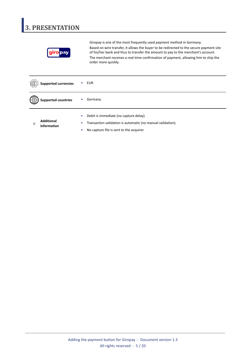## <span id="page-4-0"></span>**3. PRESENTATION**



Giropay is one of the most frequently used payment method in Germany. Based on wire transfer, it allows the buyer to be redirected to the secure payment site of his/her bank and thus to transfer the amount to pay to the merchant's account. The merchant receives a real-time confirmation of payment, allowing him to ship the order more quickly.

|                 | <b>Supported currencies</b>      |                | EUR                                                                                                                                               |
|-----------------|----------------------------------|----------------|---------------------------------------------------------------------------------------------------------------------------------------------------|
|                 | <b>Supported countries</b>       |                | Germany                                                                                                                                           |
| $^\circledcirc$ | <b>Additional</b><br>information | $\bullet$<br>۰ | Debit is immediate (no capture delay).<br>Transaction validation is automatic (no manual validation).<br>No capture file is sent to the acquirer. |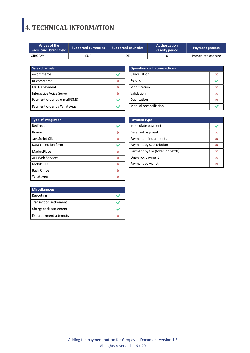### <span id="page-5-0"></span>**4. TECHNICAL INFORMATION**

| Values of the<br><b>Supported currencies</b><br>vads card brand field |     | <b>Supported countries</b> | <b>Authorization</b><br><b>Payment process</b><br>validity period |                   |  |
|-----------------------------------------------------------------------|-----|----------------------------|-------------------------------------------------------------------|-------------------|--|
| <b>GIROPAY</b>                                                        | eur | DE                         |                                                                   | Immediate capture |  |

| <b>Sales channels</b>       |  |
|-----------------------------|--|
| e-commerce                  |  |
| m-commerce                  |  |
| MOTO payment                |  |
| Interactive Voice Server    |  |
| Payment order by e-mail/SMS |  |
| Payment order by WhatsApp   |  |

| <b>Operations with transactions</b> |  |  |
|-------------------------------------|--|--|
| Cancellation                        |  |  |
| Refund                              |  |  |
| Modification                        |  |  |
| Validation                          |  |  |
| Duplication                         |  |  |
| Manual reconciliation               |  |  |

| <b>Type of integration</b> |   |
|----------------------------|---|
| Redirection                |   |
| <b>Iframe</b>              | × |
| JavaScript Client          | × |
| Data collection form       |   |
| MarketPlace                | × |
| <b>API Web Services</b>    | × |
| Mobile SDK                 | ж |
| <b>Back Office</b>         | 发 |
| WhatsApp                   |   |

| <b>Payment type</b>              |   |
|----------------------------------|---|
| Immediate payment                |   |
| Deferred payment                 | ж |
| Payment in installments          | 皱 |
| Payment by subscription          | ж |
| Payment by file (token or batch) | ж |
| One-click payment                | ж |
| Payment by wallet                |   |

| <b>Miscellaneous</b>   |  |
|------------------------|--|
| Reporting              |  |
| Transaction settlement |  |
| Chargeback settlement  |  |
| Extra payment attempts |  |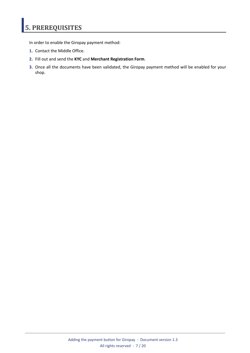## <span id="page-6-0"></span>**5. PREREQUISITES**

In order to enable the Giropay payment method:

- **1.** Contact the Middle Office.
- **2.** Fill out and send the **KYC** and **Merchant Registration Form**.
- **3.** Once all the documents have been validated, the Giropay payment method will be enabled for your shop.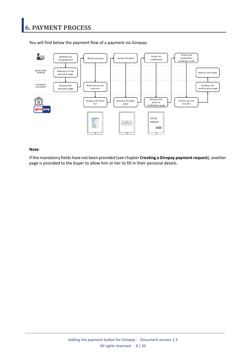### <span id="page-7-0"></span>**6. PAYMENT PROCESS**



You will find below the payment flow of a payment via Giropay:

#### **Note**:

If the mandatory fields have not been provided (see chapter **Creating a Giropay payment request**), another page is provided to the buyer to allow him or her to fill in their personal details.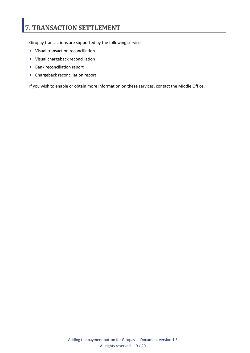## <span id="page-8-0"></span>**7. TRANSACTION SETTLEMENT**

Giropay transactions are supported by the following services:

- Visual transaction reconciliation
- Visual chargeback reconciliation
- Bank reconciliation report
- Chargeback reconciliation report

If you wish to enable or obtain more information on these services, contact the Middle Office.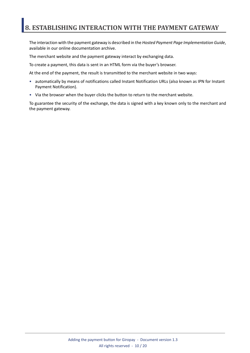### <span id="page-9-0"></span>**8. ESTABLISHING INTERACTION WITH THE PAYMENT GATEWAY**

The interaction with the payment gateway is described in the *Hosted Payment Page Implementation Guide*, available in our online documentation archive.

The merchant website and the payment gateway interact by exchanging data.

To create a payment, this data is sent in an HTML form via the buyer's browser.

At the end of the payment, the result is transmitted to the merchant website in two ways:

- automatically by means of notifications called Instant Notification URLs (also known as IPN for Instant Payment Notification).
- Via the browser when the buyer clicks the button to return to the merchant website.

To guarantee the security of the exchange, the data is signed with a key known only to the merchant and the payment gateway.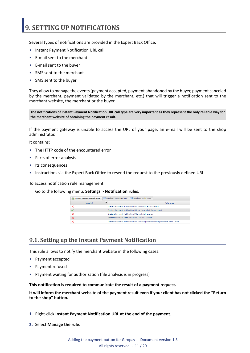### <span id="page-10-0"></span>**9. SETTING UP NOTIFICATIONS**

Several types of notifications are provided in the Expert Back Office.

- Instant Payment Notification URL call
- E-mail sent to the merchant
- E-mail sent to the buyer
- SMS sent to the merchant
- SMS sent to the buyer

They allow to manage the events(payment accepted, payment abandoned by the buyer, payment canceled by the merchant, payment validated by the merchant, etc.) that will trigger a notification sent to the merchant website, the merchant or the buyer.

The notifications of Instant Payment Notification URL call type are very important as they represent the only reliable way for **the merchant website of obtaining the payment result.**

If the payment gateway is unable to access the URL of your page, an e-mail will be sent to the shop administrator.

It contains:

- The HTTP code of the encountered error
- Parts of error analysis
- Its consequences
- Instructions via the Expert Back Office to resend the request to the previously defined URL

To access notification rule management:

Go to the following menu: **Settings** > **Notification rules**.

| Instant Payment Notification              | $\boxed{\smash{\sim}}$ E-mail sent to the merchant<br>$\overline{\mathbb{M}}$ E-mail sent to the buver |
|-------------------------------------------|--------------------------------------------------------------------------------------------------------|
| $\overline{\mathbf{v}}$<br><b>Enabled</b> | Reference                                                                                              |
|                                           | Instant Payment Notification URL on batch authorization                                                |
|                                           | Instant Payment Notification URL at the end of the payment                                             |
|                                           | Instant Payment Notification URL on batch change                                                       |
|                                           | <b>Instant Payment Notification URL on cancellation</b>                                                |
|                                           | Instant Payment Notification URL on an operation coming from the Back Office                           |

#### <span id="page-10-1"></span>**9.1. Setting up the Instant Payment Notification**

This rule allows to notify the merchant website in the following cases:

- Payment accepted
- Payment refused
- Payment waiting for authorization (file analysis is in progress)

**This notification is required to communicate the result of a payment request.**

It will inform the merchant website of the payment result even if your client has not clicked the "Return **to the shop" button.**

- **1.** Right-click **Instant Payment Notification URL at the end of the payment**.
- **2.** Select **Manage the rule**.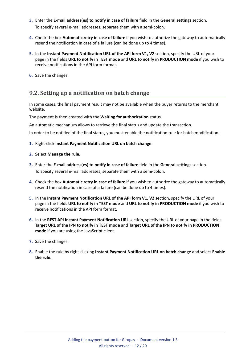- **3.** Enter the **E-mail address(es) to notify in case of failure** field in the **General settings** section. To specify several e-mail addresses, separate them with a semi-colon.
- **4.** Check the box **Automatic retry in case of failure** if you wish to authorize the gateway to automatically resend the notification in case of a failure (can be done up to 4 times).
- **5.** In the **Instant Payment Notification URL of the API form V1, V2** section, specify the URL of your page in the fields **URL to notify in TEST mode** and **URL to notify in PRODUCTION mode** if you wish to receive notifications in the API form format.
- **6.** Save the changes.

#### <span id="page-11-0"></span>**9.2. Setting up a notification on batch change**

In some cases, the final payment result may not be available when the buyer returns to the merchant website.

#### The payment is then created with the **Waiting for authorization** status.

An automatic mechanism allows to retrieve the final status and update the transaction.

In order to be notified of the final status, you must enable the notification rule for batch modification:

- **1.** Right-click **Instant Payment Notification URL on batch change**.
- **2.** Select **Manage the rule**.
- **3.** Enter the **E-mail address(es) to notify in case of failure** field in the **General settings** section. To specify several e-mail addresses, separate them with a semi-colon.
- **4.** Check the box **Automatic retry in case of failure** if you wish to authorize the gateway to automatically resend the notification in case of a failure (can be done up to 4 times).
- **5.** In the **Instant Payment Notification URL of the API form V1, V2** section, specify the URL of your page in the fields **URL to notify in TEST mode** and **URL to notify in PRODUCTION mode** if you wish to receive notifications in the API form format.
- **6.** In the **REST API Instant Payment Notification URL** section, specify the URL of your page in the fields Target URL of the IPN to notify in TEST mode and Target URL of the IPN to notify in PRODUCTION **mode** if you are using the JavaScript client.
- **7.** Save the changes.
- **8.** Enable the rule by right-clicking **Instant Payment Notification URL on batch change** and select **Enable the rule**.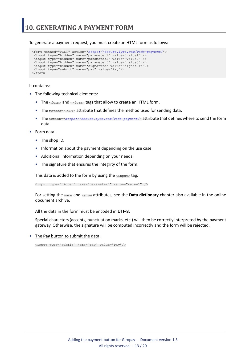<span id="page-12-0"></span>To generate a payment request, you must create an HTML form as follows:

```
<form method="POST" action="https://secure.lyra.com/vads-payment/">
 <input type="hidden" name="parameter1" value="value1" />
 <input type="hidden" name="parameter2" value="value2" />
 <input type="hidden" name="parameter3" value="value3" />
 <input type="hidden" name="signature" value="signature"/>
 <input type="submit" name="pay" value="Pay"/>
\langle/form\rangle
```
It contains:

- The following technical elements:
	- The  $\leq$  form> and  $\leq$ / form> tags that allow to create an HTML form.
	- The method="POST" attribute that defines the method used for sending data.
	- The action="*<https://secure.lyra.com/vads-payment/>*" attribute that defines where to send the form data.
- Form data:
	- The shop ID.
	- Information about the payment depending on the use case.
	- Additional information depending on your needs.
	- The signature that ensures the integrity of the form.

This data is added to the form by using the  $\langle$ input> tag:

<input type="hidden" name="parameter1" value="value1" />

For setting the name and value attributes, see the **Data dictionary** chapter also available in the online document archive.

All the data in the form must be encoded in **UTF-8.**

Special characters (accents, punctuation marks, etc.) will then be correctly interpreted by the payment gateway. Otherwise, the signature will be computed incorrectly and the form will be rejected.

• The **Pay** button to submit the data:

<input type="submit" name="pay" value="Pay"/>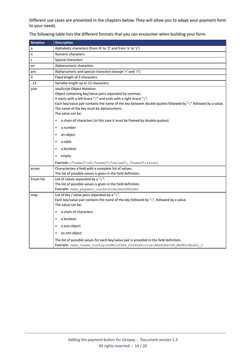Different use cases are presented in the chapters below. They will allow you to adapt your payment form to your needs.

| <b>Notation</b> | <b>Description</b>                                                                                                                                                                                                                                                                                                                                                                                                                                                            |
|-----------------|-------------------------------------------------------------------------------------------------------------------------------------------------------------------------------------------------------------------------------------------------------------------------------------------------------------------------------------------------------------------------------------------------------------------------------------------------------------------------------|
| a               | Alphabetic characters (from 'A' to 'Z' and from 'a' to 'z')                                                                                                                                                                                                                                                                                                                                                                                                                   |
| n               | Numeric characters                                                                                                                                                                                                                                                                                                                                                                                                                                                            |
| s               | Special characters                                                                                                                                                                                                                                                                                                                                                                                                                                                            |
| an              | Alphanumeric characters                                                                                                                                                                                                                                                                                                                                                                                                                                                       |
| ans             | Alphanumeric and special characters (except '<' and '>')                                                                                                                                                                                                                                                                                                                                                                                                                      |
| 3               | Fixed length of 3 characters                                                                                                                                                                                                                                                                                                                                                                                                                                                  |
| .12             | Variable length up to 12 characters                                                                                                                                                                                                                                                                                                                                                                                                                                           |
| json            | JavaScript Object Notation.<br>Object containing key/value pairs separated by commas.<br>It starts with a left brace "{" and ends with a right brace "}".<br>Each key/value pair contains the name of the key between double-quotes followed by ":" followed by a value.<br>The name of the key must be alphanumeric.<br>The value can be:<br>a chain of characters (in this case it must be framed by double-quotes)<br>٠<br>a number<br>٠<br>an object<br>٠<br>a table<br>٠ |
|                 | a boolean<br>empty<br>٠                                                                                                                                                                                                                                                                                                                                                                                                                                                       |
|                 | <b>Example:</b> { "name1":45,            "name2": "value2",            "name3":false}                                                                                                                                                                                                                                                                                                                                                                                         |
| enum            | Characterizes a field with a complete list of values.<br>The list of possible values is given in the field definition.                                                                                                                                                                                                                                                                                                                                                        |
| Enum list       | List of values separated by a ";".<br>The list of possible values is given in the field definition.<br>Example: vads payment cards=VISA; MASTERCARD                                                                                                                                                                                                                                                                                                                           |
| map             | List of key / value pairs separated by a " $\overline{r}$ ".<br>Each key/value pair contains the name of the key followed by "=", followed by a value.<br>The value can be:<br>a chain of characters<br>٠                                                                                                                                                                                                                                                                     |
|                 | a boolean<br>٠                                                                                                                                                                                                                                                                                                                                                                                                                                                                |
|                 | a json object<br>٠                                                                                                                                                                                                                                                                                                                                                                                                                                                            |
|                 | an xml object                                                                                                                                                                                                                                                                                                                                                                                                                                                                 |
|                 | The list of possible values for each key/value pair is provided in the field definition.<br>Example: vads theme config=SIMPLIFIED DISPLAY=true; RESPONSIVE MODEL=Model 1                                                                                                                                                                                                                                                                                                      |

The following table lists the different formats that you can encounter when building your form.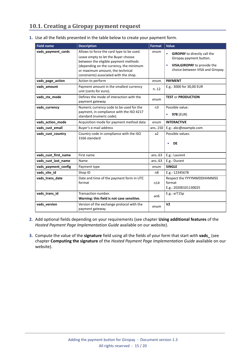#### <span id="page-14-0"></span>**10.1. Creating a Giropay payment request**

| <b>Field name</b>    | <b>Description</b>                                                                                                                                                                                                                                | <b>Format</b>  | <b>Value</b>                                                                                                                       |
|----------------------|---------------------------------------------------------------------------------------------------------------------------------------------------------------------------------------------------------------------------------------------------|----------------|------------------------------------------------------------------------------------------------------------------------------------|
| vads payment cards   | Allows to force the card type to be used.<br>Leave empty to let the Buyer choose<br>between the eligible payment methods<br>(depending on the currency, the minimum<br>or maximum amount, the technical<br>constraints) associated with the shop. | enum           | <b>GIROPAY</b> to directly call the<br>Giropay payment button.<br>VISA; GIROPAY to provide the<br>choice between VISA and Giropay. |
| vads_page_action     | Action to perform                                                                                                                                                                                                                                 | enum           | <b>PAYMENT</b>                                                                                                                     |
| vads_amount          | Payment amount in the smallest currency<br>unit (cents for euro).                                                                                                                                                                                 | n12            | E.g.: 3000 for 30,00 EUR                                                                                                           |
| vads_ctx_mode        | Defines the mode of interaction with the<br>payment gateway.                                                                                                                                                                                      | enum           | <b>TEST or PRODUCTION</b>                                                                                                          |
| vads currency        | Numeric currency code to be used for the<br>payment, in compliance with the ISO 4217<br>standard (numeric code).                                                                                                                                  | n <sub>3</sub> | Possible value:<br>978 (EUR)<br>$\bullet$                                                                                          |
| vads action mode     | Acquisition mode for payment method data                                                                                                                                                                                                          | enum           | <b>INTERACTIVE</b>                                                                                                                 |
| vads_cust_email      | Buyer's e-mail address                                                                                                                                                                                                                            | ans150         | E.g.: abc@example.com                                                                                                              |
| vads_cust_country    | Country code in compliance with the ISO<br>3166 standard                                                                                                                                                                                          | a2             | Possible values:<br><b>DE</b><br>$\bullet$                                                                                         |
| vads_cust_first_name | First name                                                                                                                                                                                                                                        | ans.63         | E.g.: Laurent                                                                                                                      |
| vads_cust_last_name  | Name                                                                                                                                                                                                                                              | ans.63         | E.g.: Durant                                                                                                                       |
| vads payment config  | Payment type                                                                                                                                                                                                                                      | enum           | <b>SINGLE</b>                                                                                                                      |
| vads_site_id         | Shop ID                                                                                                                                                                                                                                           | n <sub>8</sub> | E.g.: 12345678                                                                                                                     |
| vads_trans_date      | Date and time of the payment form in UTC<br>format                                                                                                                                                                                                | n14            | Respect the YYYYMMDDHHMMSS<br>format<br>E.g.: 20200101130025                                                                       |
| vads_trans_id        | Transaction number.<br>Warning: this field is not case sensitive.                                                                                                                                                                                 | an6            | E.g.: xrT15p                                                                                                                       |
| vads_version         | Version of the exchange protocol with the<br>payment gateway                                                                                                                                                                                      | enum           | V <sub>2</sub>                                                                                                                     |

**1.** Use all the fields presented in the table below to create your payment form.

- **2.** Add optional fields depending on your requirements (see chapter **Using additional features** of the *Hosted Payment Page Implementation Guide* available on our website).
- **3.** Compute the value of the **signature** field using all the fields of your form that start with **vads\_** (see chapter **Computing the signature** of the *Hosted Payment Page Implementation Guide* available on our website).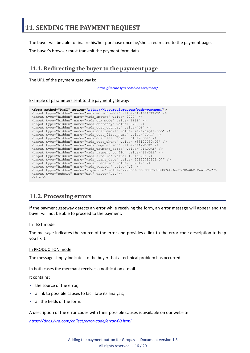<span id="page-15-0"></span>The buyer will be able to finalize his/her purchase once he/she is redirected to the payment page.

The buyer's browser must transmit the payment form data.

#### <span id="page-15-1"></span>**11.1. Redirecting the buyer to the payment page**

The URL of the payment gateway is:

*<https://secure.lyra.com/vads-payment/>*

#### Example of parameters sent to the payment gateway:

|                           | <form action="https://secure.lyra.com/vads-payment/" method="POST"></form>                   |
|---------------------------|----------------------------------------------------------------------------------------------|
|                           | <input name="vads action mode" type="hidden" value="INTERACTIVE"/>                           |
|                           | <input name="vads amount" type="hidden" value="2990"/>                                       |
|                           | <input name="vads ctx mode" type="hidden" value="TEST"/>                                     |
|                           | <input name="vads currency" type="hidden" value="978"/>                                      |
|                           | <input name="vads cust country" type="hidden" value="DE"/>                                   |
|                           | <input name="vads cust email" type="hidden" value="me@example.com"/>                         |
|                           | <input name="vads cust first name" type="hidden" value="John"/>                              |
|                           | <input name="vads cust last name" type="hidden" value="Doe"/>                                |
|                           | <input name="vads cust phone" type="hidden" value="+33102030405"/>                           |
|                           | <input name="vads page action" type="hidden" value="PAYMENT"/>                               |
|                           | <input name="vads payment cards" type="hidden" value="GIROPAY"/>                             |
|                           | <input name="vads payment confiq" type="hidden" value="SINGLE"/>                             |
|                           | <input name="vads site id" type="hidden" value="12345678"/>                                  |
|                           | <input name="vads trans date" type="hidden" value="20190710101407"/>                         |
|                           | <input name="vads trans id" type="hidden" value="362812"/>                                   |
|                           | <input name="vads version" type="hidden" value="V2"/>                                        |
|                           | <input name="signature" type="hidden" value="NM25DPLKEbtGEHCDHn8MBT4ki6aJI/ODaWhCzCnAfvY="/> |
|                           | <input name="pay" type="submit" value="Pay"/>                                                |
| $\langle$ /form $\rangle$ |                                                                                              |

#### <span id="page-15-2"></span>**11.2. Processing errors**

If the payment gateway detects an error while receiving the form, an error message will appear and the buyer will not be able to proceed to the payment.

#### In TEST mode

The message indicates the source of the error and provides a link to the error code description to help you fix it.

#### In PRODUCTION mode

The message simply indicates to the buyer that a technical problem has occurred.

In both cases the merchant receives a notification e-mail.

It contains:

- the source of the error,
- a link to possible causes to facilitate its analysis,
- all the fields of the form.

A description of the error codes with their possible causes is available on our website

*<https://docs.lyra.com/collect/error-code/error-00.html>*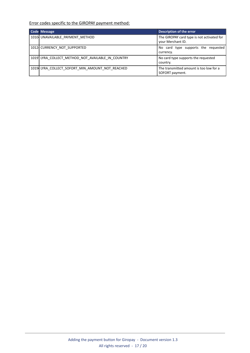#### Error codes specific to the GIROPAY payment method:

| Code Message                                      | <b>Description of the error</b>                                 |
|---------------------------------------------------|-----------------------------------------------------------------|
| 10104 UNAVAILABLE PAYMENT METHOD                  | The GIROPAY card type is not activated for<br>your Merchant ID. |
| 1012 CURRENCY NOT SUPPORTED                       | No card type supports the requested<br>currency.                |
| 1019 LYRA COLLECT METHOD NOT AVAILABLE IN COUNTRY | No card type supports the requested<br>country.                 |
| 1019 LYRA COLLECT SOFORT MIN AMOUNT NOT REACHED   | The transmitted amount is too low for a<br>SOFORT payment.      |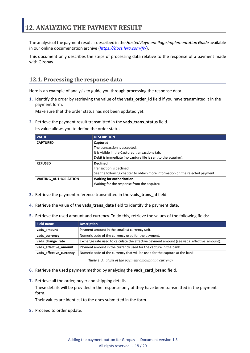<span id="page-17-0"></span>The analysis of the payment result is described in the *Hosted Payment Page Implementation Guide* available in our online documentation archive (*<https://docs.lyra.com/fr/>*).

This document only describes the steps of processing data relative to the response of a payment made with Giropay.

#### <span id="page-17-1"></span>**12.1. Processing the response data**

Here is an example of analysis to guide you through processing the response data.

**1.** Identify the order by retrieving the value of the **vads\_order\_id** field if you have transmitted it in the payment form.

Make sure that the order status has not been updated yet.

**2.** Retrieve the payment result transmitted in the **vads\_trans\_status** field.

Its value allows you to define the order status.

| <b>VALUE</b>                      | <b>DESCRIPTION</b>                                                            |  |
|-----------------------------------|-------------------------------------------------------------------------------|--|
| <b>CAPTURED</b>                   | Captured                                                                      |  |
|                                   | The transaction is accepted.                                                  |  |
|                                   | It is visible in the Captured transactions tab.                               |  |
|                                   | Debit is immediate (no capture file is sent to the acquirer).                 |  |
| <b>Declined</b><br><b>REFUSED</b> |                                                                               |  |
|                                   | Transaction is declined.                                                      |  |
|                                   | See the following chapter to obtain more information on the rejected payment. |  |
| <b>WAITING AUTHORISATION</b>      | Waiting for authorization.                                                    |  |
|                                   | Waiting for the response from the acquirer.                                   |  |

- **3.** Retrieve the payment reference transmitted in the **vads\_trans\_id** field.
- **4.** Retrieve the value of the **vads\_trans\_date** field to identify the payment date.
- **5.** Retrieve the used amount and currency. To do this, retrieve the values of the following fields:

| Field name              | <b>Description</b>                                                                        |  |
|-------------------------|-------------------------------------------------------------------------------------------|--|
| vads amount             | Payment amount in the smallest currency unit.                                             |  |
| vads currency           | Numeric code of the currency used for the payment.                                        |  |
| vads_change_rate        | Exchange rate used to calculate the effective payment amount (see vads effective amount). |  |
| vads_effective_amount   | Payment amount in the currency used for the capture in the bank.                          |  |
| vads_effective_currency | Numeric code of the currency that will be used for the capture at the bank.               |  |

*Table 1: Analysis of the payment amount and currency*

- **6.** Retrieve the used payment method by analyzing the **vads\_card\_brand** field.
- **7.** Retrieve all the order, buyer and shipping details.

These details will be provided in the response only of they have been transmitted in the payment form.

Their values are identical to the ones submitted in the form.

**8.** Proceed to order update.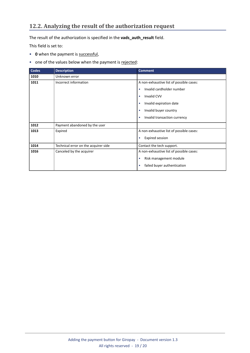#### <span id="page-18-0"></span>**12.2. Analyzing the result of the authorization request**

The result of the authorization is specified in the **vads\_auth\_result** field.

This field is set to:

- **0** when the payment is successful,
- one of the values below when the payment is rejected:

| <b>Codes</b> | <b>Description</b>                   | <b>Comment</b>                            |
|--------------|--------------------------------------|-------------------------------------------|
| 1010         | Unknown error                        |                                           |
| 1011         | Incorrect information                | A non-exhaustive list of possible cases:  |
|              |                                      | Invalid cardholder number<br>۰            |
|              |                                      | <b>Invalid CVV</b><br>$\bullet$           |
|              |                                      | Invalid expiration date<br>$\bullet$      |
|              |                                      | Invalid buyer country                     |
|              |                                      | Invalid transaction currency<br>$\bullet$ |
| 1012         | Payment abandoned by the user        |                                           |
| 1013         | Expired                              | A non-exhaustive list of possible cases:  |
|              |                                      | <b>Expired session</b><br>٠               |
| 1014         | Technical error on the acquirer side | Contact the tech support.                 |
| 1016         | Canceled by the acquirer             | A non-exhaustive list of possible cases:  |
|              |                                      | Risk management module<br>$\bullet$       |
|              |                                      | failed buyer authentication               |